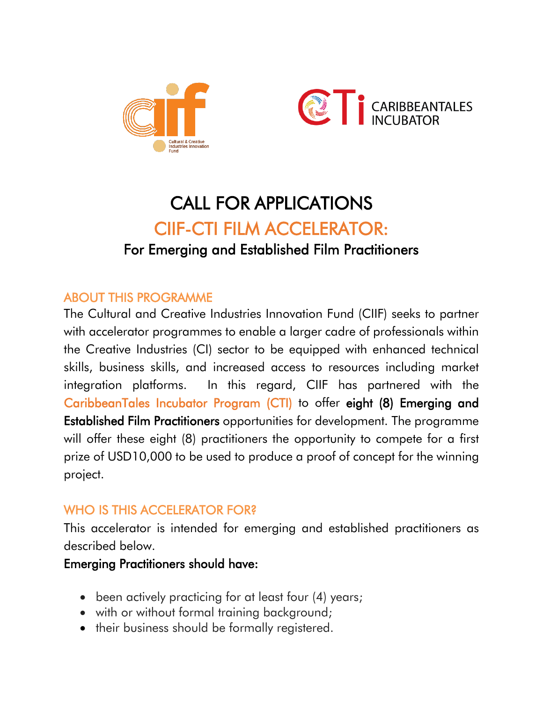



# CALL FOR APPLICATIONS CIIF-CTI FILM ACCELERATOR: For Emerging and Established Film Practitioners

## ABOUT THIS PROGRAMME

The Cultural and Creative Industries Innovation Fund (CIIF) seeks to partner with accelerator programmes to enable a larger cadre of professionals within the Creative Industries (CI) sector to be equipped with enhanced technical skills, business skills, and increased access to resources including market integration platforms. In this regard, CIIF has partnered with the CaribbeanTales Incubator Program (CTI) to offer eight (8) Emerging and Established Film Practitioners opportunities for development. The programme will offer these eight (8) practitioners the opportunity to compete for a first prize of USD10,000 to be used to produce a proof of concept for the winning project.

# WHO IS THIS ACCELERATOR FOR?

This accelerator is intended for emerging and established practitioners as described below.

### Emerging Practitioners should have:

- been actively practicing for at least four (4) years;
- with or without formal training background;
- their business should be formally registered.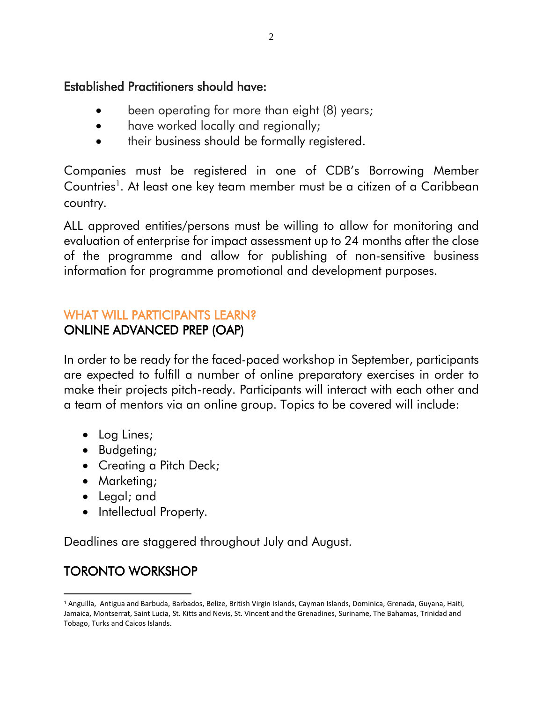#### Established Practitioners should have:

- been operating for more than eight (8) years;
- have worked locally and regionally;
- their business should be formally registered.

Companies must be registered in one of CDB's Borrowing Member Countries<sup>1</sup>. At least one key team member must be a citizen of a Caribbean country.

ALL approved entities/persons must be willing to allow for monitoring and evaluation of enterprise for impact assessment up to 24 months after the close of the programme and allow for publishing of non-sensitive business information for programme promotional and development purposes.

#### WHAT WILL PARTICIPANTS LEARN? ONLINE ADVANCED PREP (OAP)

In order to be ready for the faced-paced workshop in September, participants are expected to fulfill a number of online preparatory exercises in order to make their projects pitch-ready. Participants will interact with each other and a team of mentors via an online group. Topics to be covered will include:

- Log Lines;
- Budgeting;
- Creating a Pitch Deck;
- Marketing;
- Legal; and
- Intellectual Property.

Deadlines are staggered throughout July and August.

# TORONTO WORKSHOP

 $\overline{a}$ <sup>1</sup> Anguilla, Antigua and Barbuda, Barbados, Belize, British Virgin Islands, Cayman Islands, Dominica, Grenada, Guyana, Haiti, Jamaica, Montserrat, Saint Lucia, St. Kitts and Nevis, St. Vincent and the Grenadines, Suriname, The Bahamas, Trinidad and Tobago, Turks and Caicos Islands.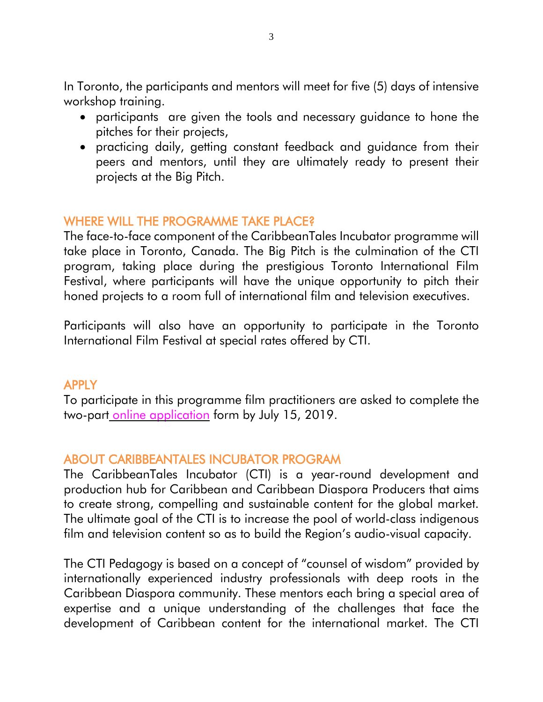In Toronto, the participants and mentors will meet for five (5) days of intensive workshop training.

- participants are given the tools and necessary guidance to hone the pitches for their projects,
- practicing daily, getting constant feedback and guidance from their peers and mentors, until they are ultimately ready to present their projects at the Big Pitch.

## WHERE WILL THE PROGRAMME TAKE PLACE?

The face-to-face component of the CaribbeanTales Incubator programme will take place in Toronto, Canada. The Big Pitch is the culmination of the CTI program, taking place during the prestigious Toronto International Film Festival, where participants will have the unique opportunity to pitch their honed projects to a room full of international film and television executives.

Participants will also have an opportunity to participate in the Toronto International Film Festival at special rates offered by CTI.

#### APPLY

To participate in this programme film practitioners are asked to complete the two-part online [application](https://forms.office.com/Pages/ResponsePage.aspx?id=QnxPvmXl5kC4HP3wGvySDFcQyJch4vVLkR6CbtotohBUMllRVlFSV0NPVUkyWU9UR0VBNjlFU1pHNC4u) form by July 15, 2019.

## ABOUT CARIBBEANTALES INCUBATOR PROGRAM

The CaribbeanTales Incubator (CTI) is a year-round development and production hub for Caribbean and Caribbean Diaspora Producers that aims to create strong, compelling and sustainable content for the global market. The ultimate goal of the CTI is to increase the pool of world-class indigenous film and television content so as to build the Region's audio-visual capacity.

The CTI Pedagogy is based on a concept of "counsel of wisdom" provided by internationally experienced industry professionals with deep roots in the Caribbean Diaspora community. These mentors each bring a special area of expertise and a unique understanding of the challenges that face the development of Caribbean content for the international market. The CTI